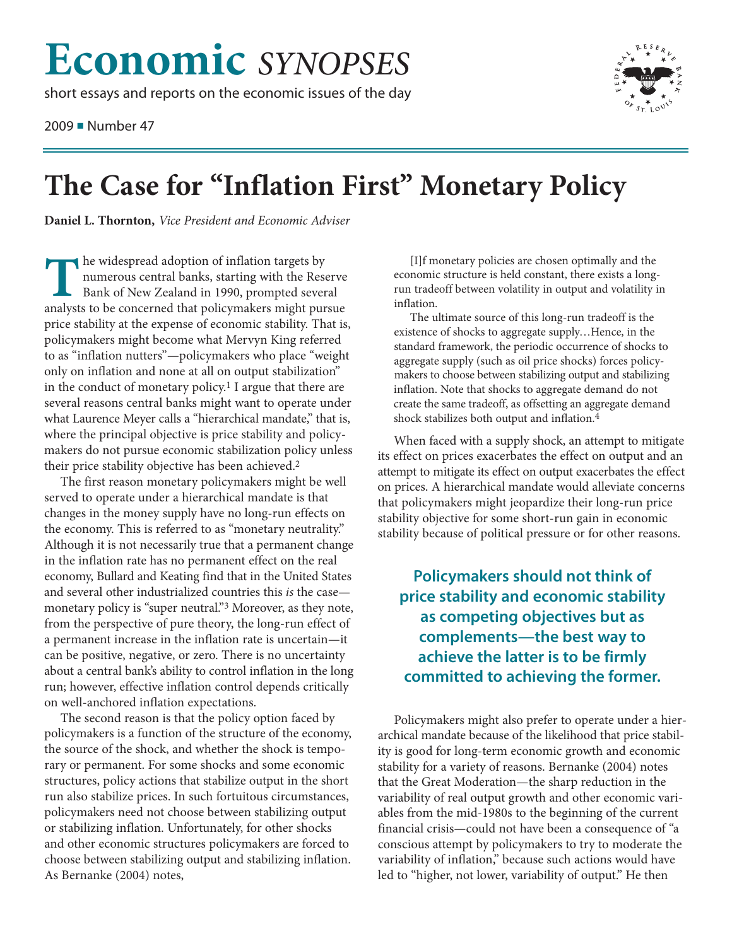## **Economic** *SYNOPSES*

short essays and reports on the economic issues of the day

2009 ■ Number 47



## **The Case for "Inflation First" Monetary Policy**

**Daniel L. Thornton,** *Vice President and Economic Adviser*

**The widespread adoption of inflation targets by<br>
numerous central banks, starting with the Res<br>
Bank of New Zealand in 1990, prompted sever<br>
analysts to be concerned that policymakers might put** numerous central banks, starting with the Reserve Bank of New Zealand in 1990, prompted several analysts to be concerned that policymakers might pursue price stability at the expense of economic stability. That is, policymakers might become what Mervyn King referred to as "inflation nutters"—policymakers who place "weight only on inflation and none at all on output stabilization" in the conduct of monetary policy. 1 I argue that there are several reasons central banks might want to operate under what Laurence Meyer calls a "hierarchical mandate," that is, where the principal objective is price stability and policymakers do not pursue economic stabilization policy unless their price stability objective has been achieved. 2

The first reason monetary policymakers might be well served to operate under a hierarchical mandate is that changes in the money supply have no long-run effects on the economy. This is referred to as "monetary neutrality." Although it is not necessarily true that a permanent change in the inflation rate has no permanent effect on the real economy, Bullard and Keating find that in the United States and several other industrialized countries this *is* the case monetary policy is "super neutral."3 Moreover, as they note, from the perspective of pure theory, the long-run effect of a permanent increase in the inflation rate is uncertain—it can be positive, negative, or zero. There is no uncertainty about a central bank's ability to control inflation in the long run; however, effective inflation control depends critically on well-anchored inflation expectations.

The second reason is that the policy option faced by policymakers is a function of the structure of the economy, the source of the shock, and whether the shock is temporary or permanent. For some shocks and some economic structures, policy actions that stabilize output in the short run also stabilize prices. In such fortuitous circumstances, policymakers need not choose between stabilizing output or stabilizing inflation. Unfortunately, for other shocks and other economic structures policymakers are forced to choose between stabilizing output and stabilizing inflation. As Bernanke (2004) notes,

[I]f monetary policies are chosen optimally and the economic structure is held constant, there exists a longrun tradeoff between volatility in output and volatility in inflation.

The ultimate source of this long-run tradeoff is the existence of shocks to aggregate supply…Hence, in the standard framework, the periodic occurrence of shocks to aggregate supply (such as oil price shocks) forces policymakers to choose between stabilizing output and stabilizing inflation. Note that shocks to aggregate demand do not create the same tradeoff, as offsetting an aggregate demand shock stabilizes both output and inflation. 4

When faced with a supply shock, an attempt to mitigate its effect on prices exacerbates the effect on output and an attempt to mitigate its effect on output exacerbates the effect on prices. A hierarchical mandate would alleviate concerns that policymakers might jeopardize their long-run price stability objective for some short-run gain in economic stability because of political pressure or for other reasons.

## **Policymakers should not think of price stability and economic stability as competing objectives but as complements—the best way to achieve the latter is to be firmly committed to achieving the former.**

Policymakers might also prefer to operate under a hierarchical mandate because of the likelihood that price stability is good for long-term economic growth and economic stability for a variety of reasons. Bernanke (2004) notes that the Great Moderation—the sharp reduction in the variability of real output growth and other economic variables from the mid-1980s to the beginning of the current financial crisis—could not have been a consequence of "a conscious attempt by policymakers to try to moderate the variability of inflation," because such actions would have led to "higher, not lower, variability of output." He then